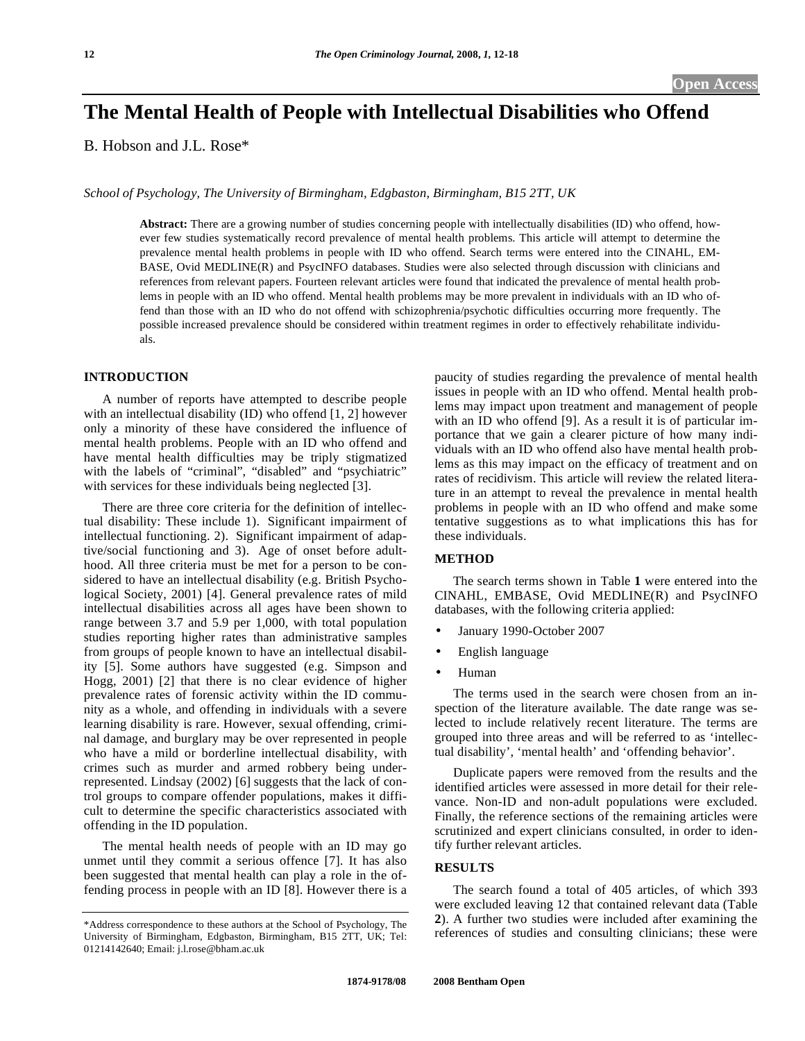# **The Mental Health of People with Intellectual Disabilities who Offend**

B. Hobson and J.L. Rose\*

*School of Psychology, The University of Birmingham, Edgbaston, Birmingham, B15 2TT, UK* 

**Abstract:** There are a growing number of studies concerning people with intellectually disabilities (ID) who offend, however few studies systematically record prevalence of mental health problems. This article will attempt to determine the prevalence mental health problems in people with ID who offend. Search terms were entered into the CINAHL, EM-BASE, Ovid MEDLINE(R) and PsycINFO databases. Studies were also selected through discussion with clinicians and references from relevant papers. Fourteen relevant articles were found that indicated the prevalence of mental health problems in people with an ID who offend. Mental health problems may be more prevalent in individuals with an ID who offend than those with an ID who do not offend with schizophrenia/psychotic difficulties occurring more frequently. The possible increased prevalence should be considered within treatment regimes in order to effectively rehabilitate individuals.

# **INTRODUCTION**

 A number of reports have attempted to describe people with an intellectual disability (ID) who offend [1, 2] however only a minority of these have considered the influence of mental health problems. People with an ID who offend and have mental health difficulties may be triply stigmatized with the labels of "criminal", "disabled" and "psychiatric" with services for these individuals being neglected [3].

 There are three core criteria for the definition of intellectual disability: These include 1). Significant impairment of intellectual functioning. 2). Significant impairment of adaptive/social functioning and 3). Age of onset before adulthood. All three criteria must be met for a person to be considered to have an intellectual disability (e.g. British Psychological Society, 2001) [4]. General prevalence rates of mild intellectual disabilities across all ages have been shown to range between 3.7 and 5.9 per 1,000, with total population studies reporting higher rates than administrative samples from groups of people known to have an intellectual disability [5]. Some authors have suggested (e.g. Simpson and Hogg, 2001) [2] that there is no clear evidence of higher prevalence rates of forensic activity within the ID community as a whole, and offending in individuals with a severe learning disability is rare. However, sexual offending, criminal damage, and burglary may be over represented in people who have a mild or borderline intellectual disability, with crimes such as murder and armed robbery being underrepresented. Lindsay (2002) [6] suggests that the lack of control groups to compare offender populations, makes it difficult to determine the specific characteristics associated with offending in the ID population.

 The mental health needs of people with an ID may go unmet until they commit a serious offence [7]. It has also been suggested that mental health can play a role in the offending process in people with an ID [8]. However there is a paucity of studies regarding the prevalence of mental health issues in people with an ID who offend. Mental health problems may impact upon treatment and management of people with an ID who offend [9]. As a result it is of particular importance that we gain a clearer picture of how many individuals with an ID who offend also have mental health problems as this may impact on the efficacy of treatment and on rates of recidivism. This article will review the related literature in an attempt to reveal the prevalence in mental health problems in people with an ID who offend and make some tentative suggestions as to what implications this has for these individuals.

# **METHOD**

 The search terms shown in Table **1** were entered into the CINAHL, EMBASE, Ovid MEDLINE(R) and PsycINFO databases, with the following criteria applied:

- January 1990-October 2007
- English language
- Human

 The terms used in the search were chosen from an inspection of the literature available. The date range was selected to include relatively recent literature. The terms are grouped into three areas and will be referred to as 'intellectual disability', 'mental health' and 'offending behavior'.

 Duplicate papers were removed from the results and the identified articles were assessed in more detail for their relevance. Non-ID and non-adult populations were excluded. Finally, the reference sections of the remaining articles were scrutinized and expert clinicians consulted, in order to identify further relevant articles.

# **RESULTS**

 The search found a total of 405 articles, of which 393 were excluded leaving 12 that contained relevant data (Table **2**). A further two studies were included after examining the references of studies and consulting clinicians; these were

<sup>\*</sup>Address correspondence to these authors at the School of Psychology, The University of Birmingham, Edgbaston, Birmingham, B15 2TT, UK; Tel: 01214142640; Email: j.l.rose@bham.ac.uk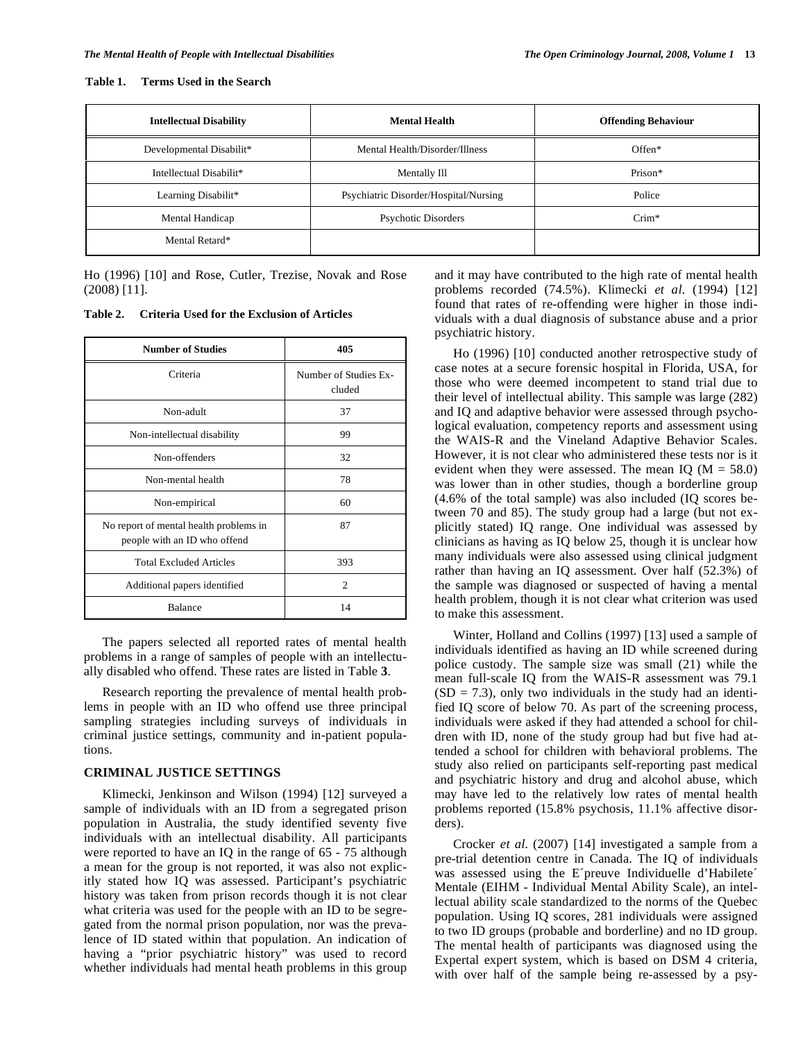#### **Table 1. Terms Used in the Search**

| <b>Intellectual Disability</b> | <b>Mental Health</b>                  | <b>Offending Behaviour</b> |
|--------------------------------|---------------------------------------|----------------------------|
| Developmental Disabilit*       | Mental Health/Disorder/Illness        | $Offen*$                   |
| Intellectual Disabilit*        | Mentally Ill                          | Prison*                    |
| Learning Disabilit*            | Psychiatric Disorder/Hospital/Nursing | Police                     |
| Mental Handicap                | Psychotic Disorders                   | $Crim*$                    |
| Mental Retard*                 |                                       |                            |

Ho (1996) [10] and Rose, Cutler, Trezise, Novak and Rose (2008) [11].

**Table 2. Criteria Used for the Exclusion of Articles** 

| <b>Number of Studies</b>                                               | 405                             |  |  |
|------------------------------------------------------------------------|---------------------------------|--|--|
| Criteria                                                               | Number of Studies Ex-<br>cluded |  |  |
| Non-adult                                                              | 37                              |  |  |
| Non-intellectual disability                                            | 99                              |  |  |
| Non-offenders                                                          | 32                              |  |  |
| Non-mental health                                                      | 78                              |  |  |
| Non-empirical                                                          | 60                              |  |  |
| No report of mental health problems in<br>people with an ID who offend | 87                              |  |  |
| <b>Total Excluded Articles</b>                                         | 393                             |  |  |
| Additional papers identified                                           | 2                               |  |  |
| <b>Balance</b>                                                         | 14                              |  |  |

 The papers selected all reported rates of mental health problems in a range of samples of people with an intellectually disabled who offend. These rates are listed in Table **3**.

 Research reporting the prevalence of mental health problems in people with an ID who offend use three principal sampling strategies including surveys of individuals in criminal justice settings, community and in-patient populations.

# **CRIMINAL JUSTICE SETTINGS**

 Klimecki, Jenkinson and Wilson (1994) [12] surveyed a sample of individuals with an ID from a segregated prison population in Australia, the study identified seventy five individuals with an intellectual disability. All participants were reported to have an IQ in the range of 65 - 75 although a mean for the group is not reported, it was also not explicitly stated how IQ was assessed. Participant's psychiatric history was taken from prison records though it is not clear what criteria was used for the people with an ID to be segregated from the normal prison population, nor was the prevalence of ID stated within that population. An indication of having a "prior psychiatric history" was used to record whether individuals had mental heath problems in this group and it may have contributed to the high rate of mental health problems recorded (74.5%). Klimecki *et al*. (1994) [12] found that rates of re-offending were higher in those individuals with a dual diagnosis of substance abuse and a prior psychiatric history.

 Ho (1996) [10] conducted another retrospective study of case notes at a secure forensic hospital in Florida, USA, for those who were deemed incompetent to stand trial due to their level of intellectual ability. This sample was large (282) and IQ and adaptive behavior were assessed through psychological evaluation, competency reports and assessment using the WAIS-R and the Vineland Adaptive Behavior Scales. However, it is not clear who administered these tests nor is it evident when they were assessed. The mean IQ ( $M = 58.0$ ) was lower than in other studies, though a borderline group (4.6% of the total sample) was also included (IQ scores between 70 and 85). The study group had a large (but not explicitly stated) IQ range. One individual was assessed by clinicians as having as IQ below 25, though it is unclear how many individuals were also assessed using clinical judgment rather than having an IQ assessment. Over half (52.3%) of the sample was diagnosed or suspected of having a mental health problem, though it is not clear what criterion was used to make this assessment.

 Winter, Holland and Collins (1997) [13] used a sample of individuals identified as having an ID while screened during police custody. The sample size was small (21) while the mean full-scale IQ from the WAIS-R assessment was 79.1  $(SD = 7.3)$ , only two individuals in the study had an identified IQ score of below 70. As part of the screening process, individuals were asked if they had attended a school for children with ID, none of the study group had but five had attended a school for children with behavioral problems. The study also relied on participants self-reporting past medical and psychiatric history and drug and alcohol abuse, which may have led to the relatively low rates of mental health problems reported (15.8% psychosis, 11.1% affective disorders).

 Crocker *et al*. (2007) [14] investigated a sample from a pre-trial detention centre in Canada. The IQ of individuals was assessed using the E´preuve Individuelle d'Habilete´ Mentale (EIHM - Individual Mental Ability Scale), an intellectual ability scale standardized to the norms of the Quebec population. Using IQ scores, 281 individuals were assigned to two ID groups (probable and borderline) and no ID group. The mental health of participants was diagnosed using the Expertal expert system, which is based on DSM 4 criteria, with over half of the sample being re-assessed by a psy-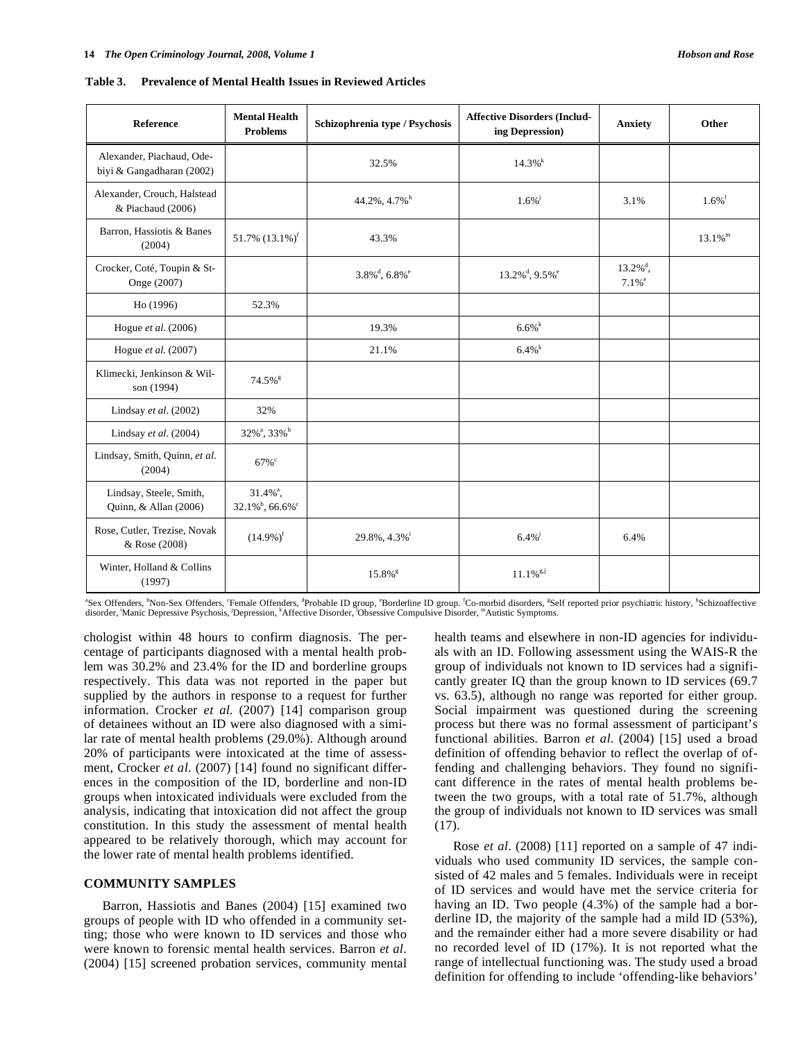| <b>Reference</b>                                       | <b>Mental Health</b><br><b>Problems</b>                               | Schizophrenia type / Psychosis              | <b>Affective Disorders (Includ-</b><br>ing Depression) | <b>Anxiety</b>                                  | Other                 |
|--------------------------------------------------------|-----------------------------------------------------------------------|---------------------------------------------|--------------------------------------------------------|-------------------------------------------------|-----------------------|
| Alexander, Piachaud, Ode-<br>biyi & Gangadharan (2002) |                                                                       | 32.5%                                       | $14.3\%$ <sup>k</sup>                                  |                                                 |                       |
| Alexander, Crouch, Halstead<br>& Piachaud (2006)       |                                                                       | 44.2%, 4.7% <sup>h</sup>                    | $1.6\%$                                                | 3.1%                                            | $1.6\%$ <sup>1</sup>  |
| Barron, Hassiotis & Banes<br>(2004)                    | 51.7% $(13.1\%)^f$                                                    | 43.3%                                       |                                                        |                                                 | $13.1\%$ <sup>m</sup> |
| Crocker, Coté, Toupin & St-<br>Onge (2007)             |                                                                       | $3.8\%$ <sup>d</sup> , $6.8\%$ <sup>e</sup> | $13.2\%$ <sup>d</sup> , $9.5\%$ <sup>e</sup>           | $13.2\%$ <sup>d</sup> ,<br>$7.1\%$ <sup>e</sup> |                       |
| Ho (1996)                                              | 52.3%                                                                 |                                             |                                                        |                                                 |                       |
| Hogue et al. $(2006)$                                  |                                                                       | 19.3%                                       | 6.6%                                                   |                                                 |                       |
| Hogue $et$ al. (2007)                                  |                                                                       | 21.1%                                       | 6.4%                                                   |                                                 |                       |
| Klimecki, Jenkinson & Wil-<br>son (1994)               | $74.5\%$ <sup>g</sup>                                                 |                                             |                                                        |                                                 |                       |
| Lindsay et al. (2002)                                  | 32%                                                                   |                                             |                                                        |                                                 |                       |
| Lindsay et al. $(2004)$                                | 32% <sup>a</sup> , 33% <sup>b</sup>                                   |                                             |                                                        |                                                 |                       |
| Lindsay, Smith, Quinn, et al.<br>(2004)                | $67\%$ <sup>c</sup>                                                   |                                             |                                                        |                                                 |                       |
| Lindsay, Steele, Smith,<br>Quinn, & Allan (2006)       | $31.4\%$ <sup>a</sup> ,<br>$32.1\%$ <sup>b</sup> , 66.6% <sup>c</sup> |                                             |                                                        |                                                 |                       |
| Rose, Cutler, Trezise, Novak<br>& Rose (2008)          | $(14.9\%)^{\text{f}}$                                                 | 29.8%, 4.3% <sup>i</sup>                    | $6.4\%$                                                | 6.4%                                            |                       |
| Winter, Holland & Collins<br>(1997)                    |                                                                       | $15.8\%$ <sup>g</sup>                       | $11.1\%$ <sup>g,j</sup>                                |                                                 |                       |

**Table 3. Prevalence of Mental Health Issues in Reviewed Articles** 

"Sex Offenders, "Non-Sex Offenders, "Female Offenders, "Probable ID group, "Borderline ID group. <sup>for</sup> Co-morbid disorders, "Self reported prior psychiatric history, "Schizoaffective disorder, 'Manic Depressive Psychosis, 'Depression, <sup>k</sup>Affective Disorder, <sup>1</sup>Obsessive Compulsive Disorder, <sup>m</sup>Autistic Symptoms.

chologist within 48 hours to confirm diagnosis. The percentage of participants diagnosed with a mental health problem was 30.2% and 23.4% for the ID and borderline groups respectively. This data was not reported in the paper but supplied by the authors in response to a request for further information. Crocker *et al*. (2007) [14] comparison group of detainees without an ID were also diagnosed with a similar rate of mental health problems (29.0%). Although around 20% of participants were intoxicated at the time of assessment, Crocker *et al*. (2007) [14] found no significant differences in the composition of the ID, borderline and non-ID groups when intoxicated individuals were excluded from the analysis, indicating that intoxication did not affect the group constitution. In this study the assessment of mental health appeared to be relatively thorough, which may account for the lower rate of mental health problems identified.

# **COMMUNITY SAMPLES**

 Barron, Hassiotis and Banes (2004) [15] examined two groups of people with ID who offended in a community setting; those who were known to ID services and those who were known to forensic mental health services. Barron *et al*. (2004) [15] screened probation services, community mental health teams and elsewhere in non-ID agencies for individuals with an ID. Following assessment using the WAIS-R the group of individuals not known to ID services had a significantly greater IQ than the group known to ID services (69.7 vs. 63.5), although no range was reported for either group. Social impairment was questioned during the screening process but there was no formal assessment of participant's functional abilities. Barron *et al*. (2004) [15] used a broad definition of offending behavior to reflect the overlap of offending and challenging behaviors. They found no significant difference in the rates of mental health problems between the two groups, with a total rate of 51.7%, although the group of individuals not known to ID services was small (17).

 Rose *et al*. (2008) [11] reported on a sample of 47 individuals who used community ID services, the sample consisted of 42 males and 5 females. Individuals were in receipt of ID services and would have met the service criteria for having an ID. Two people (4.3%) of the sample had a borderline ID, the majority of the sample had a mild ID (53%), and the remainder either had a more severe disability or had no recorded level of ID (17%). It is not reported what the range of intellectual functioning was. The study used a broad definition for offending to include 'offending-like behaviors'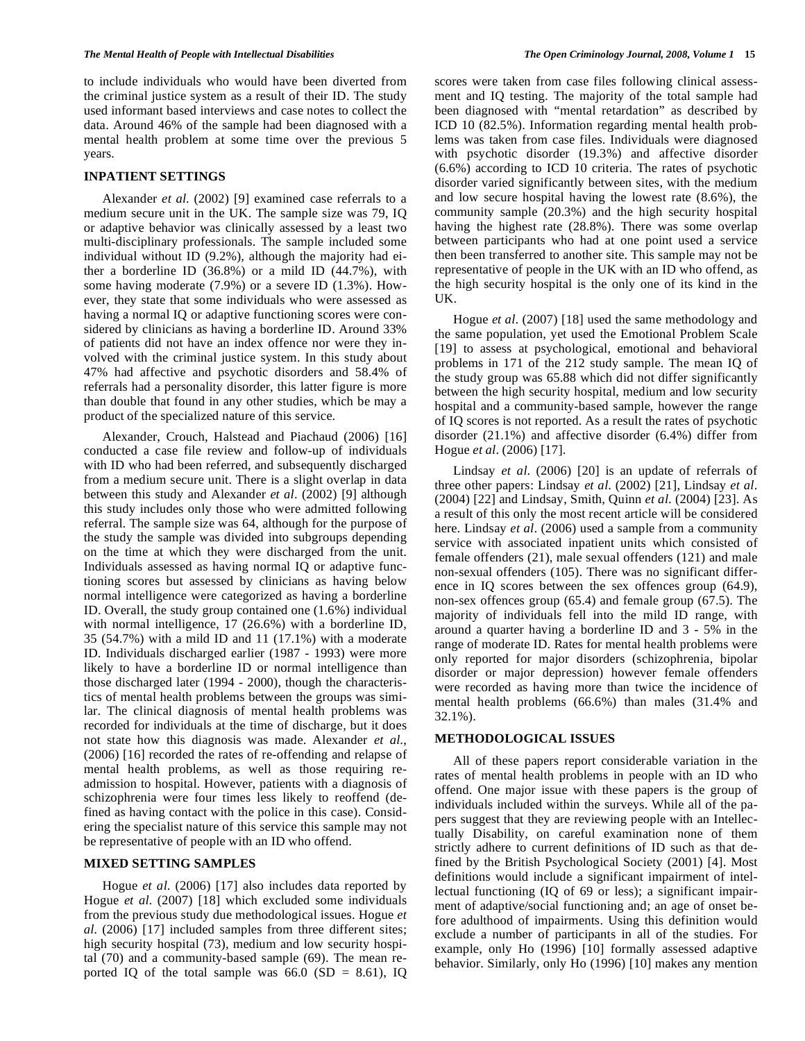to include individuals who would have been diverted from the criminal justice system as a result of their ID. The study used informant based interviews and case notes to collect the data. Around 46% of the sample had been diagnosed with a mental health problem at some time over the previous 5 years.

#### **INPATIENT SETTINGS**

 Alexander *et al*. (2002) [9] examined case referrals to a medium secure unit in the UK. The sample size was 79, IQ or adaptive behavior was clinically assessed by a least two multi-disciplinary professionals. The sample included some individual without ID (9.2%), although the majority had either a borderline ID (36.8%) or a mild ID (44.7%), with some having moderate (7.9%) or a severe ID (1.3%). However, they state that some individuals who were assessed as having a normal IQ or adaptive functioning scores were considered by clinicians as having a borderline ID. Around 33% of patients did not have an index offence nor were they involved with the criminal justice system. In this study about 47% had affective and psychotic disorders and 58.4% of referrals had a personality disorder, this latter figure is more than double that found in any other studies, which be may a product of the specialized nature of this service.

 Alexander, Crouch, Halstead and Piachaud (2006) [16] conducted a case file review and follow-up of individuals with ID who had been referred, and subsequently discharged from a medium secure unit. There is a slight overlap in data between this study and Alexander *et al*. (2002) [9] although this study includes only those who were admitted following referral. The sample size was 64, although for the purpose of the study the sample was divided into subgroups depending on the time at which they were discharged from the unit. Individuals assessed as having normal IQ or adaptive functioning scores but assessed by clinicians as having below normal intelligence were categorized as having a borderline ID. Overall, the study group contained one (1.6%) individual with normal intelligence, 17 (26.6%) with a borderline ID, 35 (54.7%) with a mild ID and 11 (17.1%) with a moderate ID. Individuals discharged earlier (1987 - 1993) were more likely to have a borderline ID or normal intelligence than those discharged later (1994 - 2000), though the characteristics of mental health problems between the groups was similar. The clinical diagnosis of mental health problems was recorded for individuals at the time of discharge, but it does not state how this diagnosis was made. Alexander *et al*., (2006) [16] recorded the rates of re-offending and relapse of mental health problems, as well as those requiring readmission to hospital. However, patients with a diagnosis of schizophrenia were four times less likely to reoffend (defined as having contact with the police in this case). Considering the specialist nature of this service this sample may not be representative of people with an ID who offend.

### **MIXED SETTING SAMPLES**

 Hogue *et al*. (2006) [17] also includes data reported by Hogue *et al*. (2007) [18] which excluded some individuals from the previous study due methodological issues. Hogue *et al*. (2006) [17] included samples from three different sites; high security hospital (73), medium and low security hospital (70) and a community-based sample (69). The mean reported IQ of the total sample was  $66.0$  (SD = 8.61), IQ

scores were taken from case files following clinical assessment and IQ testing. The majority of the total sample had been diagnosed with "mental retardation" as described by ICD 10 (82.5%). Information regarding mental health problems was taken from case files. Individuals were diagnosed with psychotic disorder (19.3%) and affective disorder (6.6%) according to ICD 10 criteria. The rates of psychotic disorder varied significantly between sites, with the medium and low secure hospital having the lowest rate (8.6%), the community sample (20.3%) and the high security hospital having the highest rate (28.8%). There was some overlap between participants who had at one point used a service then been transferred to another site. This sample may not be representative of people in the UK with an ID who offend, as the high security hospital is the only one of its kind in the UK.

 Hogue *et al*. (2007) [18] used the same methodology and the same population, yet used the Emotional Problem Scale [19] to assess at psychological, emotional and behavioral problems in 171 of the 212 study sample. The mean IQ of the study group was 65.88 which did not differ significantly between the high security hospital, medium and low security hospital and a community-based sample, however the range of IQ scores is not reported. As a result the rates of psychotic disorder (21.1%) and affective disorder (6.4%) differ from Hogue *et al*. (2006) [17].

 Lindsay *et al*. (2006) [20] is an update of referrals of three other papers: Lindsay *et al*. (2002) [21], Lindsay *et al*. (2004) [22] and Lindsay, Smith, Quinn *et al*. (2004) [23]. As a result of this only the most recent article will be considered here. Lindsay *et al*. (2006) used a sample from a community service with associated inpatient units which consisted of female offenders (21), male sexual offenders (121) and male non-sexual offenders (105). There was no significant difference in IQ scores between the sex offences group (64.9), non-sex offences group (65.4) and female group (67.5). The majority of individuals fell into the mild ID range, with around a quarter having a borderline ID and 3 - 5% in the range of moderate ID. Rates for mental health problems were only reported for major disorders (schizophrenia, bipolar disorder or major depression) however female offenders were recorded as having more than twice the incidence of mental health problems (66.6%) than males (31.4% and 32.1%).

# **METHODOLOGICAL ISSUES**

 All of these papers report considerable variation in the rates of mental health problems in people with an ID who offend. One major issue with these papers is the group of individuals included within the surveys. While all of the papers suggest that they are reviewing people with an Intellectually Disability, on careful examination none of them strictly adhere to current definitions of ID such as that defined by the British Psychological Society (2001) [4]. Most definitions would include a significant impairment of intellectual functioning (IQ of 69 or less); a significant impairment of adaptive/social functioning and; an age of onset before adulthood of impairments. Using this definition would exclude a number of participants in all of the studies. For example, only Ho (1996) [10] formally assessed adaptive behavior. Similarly, only Ho (1996) [10] makes any mention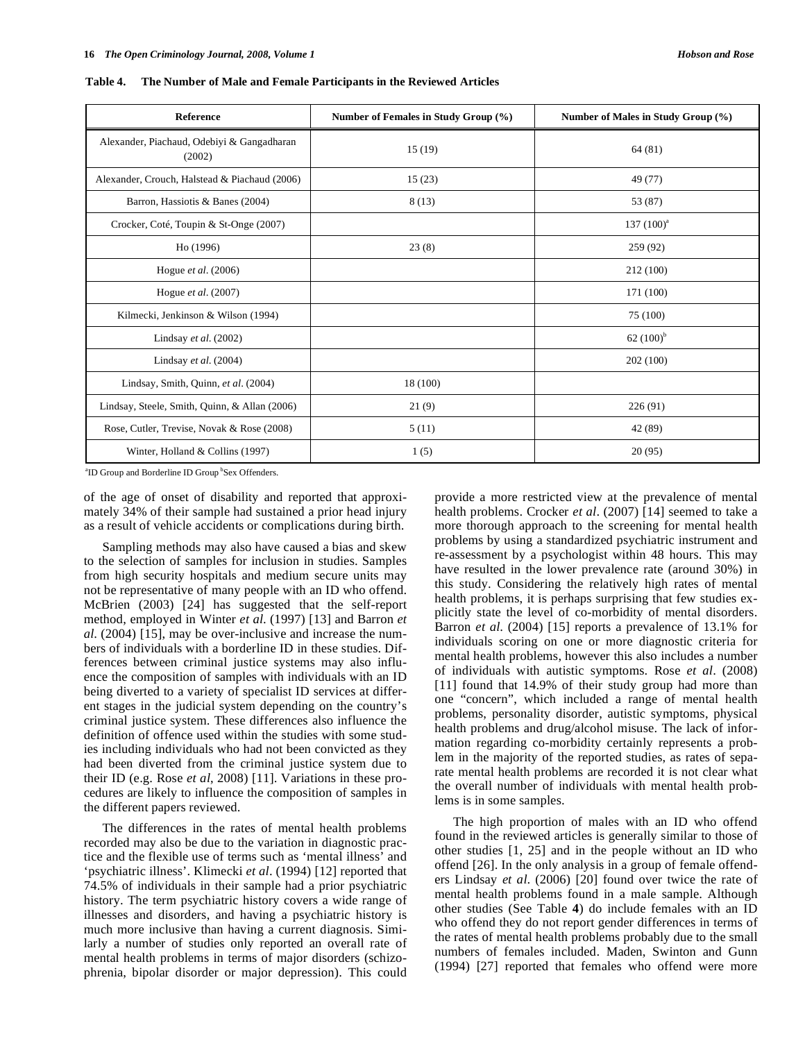| <b>Reference</b>                                     | Number of Females in Study Group (%) | Number of Males in Study Group (%) |
|------------------------------------------------------|--------------------------------------|------------------------------------|
| Alexander, Piachaud, Odebiyi & Gangadharan<br>(2002) | 15(19)                               | 64(81)                             |
| Alexander, Crouch, Halstead & Piachaud (2006)        | 15(23)                               | 49 (77)                            |
| Barron, Hassiotis & Banes (2004)                     | 8(13)                                | 53 (87)                            |
| Crocker, Coté, Toupin & St-Onge (2007)               |                                      | 137 $(100)^a$                      |
| Ho (1996)                                            | 23(8)                                | 259 (92)                           |
| Hogue <i>et al.</i> (2006)                           |                                      | 212 (100)                          |
| Hogue et al. (2007)                                  |                                      | 171 (100)                          |
| Kilmecki, Jenkinson & Wilson (1994)                  |                                      | 75 (100)                           |
| Lindsay et al. $(2002)$                              |                                      | 62 $(100)^{b}$                     |
| Lindsay et al. $(2004)$                              |                                      | 202 (100)                          |
| Lindsay, Smith, Quinn, et al. (2004)                 | 18 (100)                             |                                    |
| Lindsay, Steele, Smith, Quinn, & Allan (2006)        | 21(9)                                | 226 (91)                           |
| Rose, Cutler, Trevise, Novak & Rose (2008)           | 5(11)                                | 42 (89)                            |
| Winter, Holland & Collins (1997)                     | 1(5)                                 | 20(95)                             |

**Table 4. The Number of Male and Female Participants in the Reviewed Articles** 

<sup>a</sup>ID Group and Borderline ID Group <sup>b</sup>Sex Offenders.

of the age of onset of disability and reported that approximately 34% of their sample had sustained a prior head injury as a result of vehicle accidents or complications during birth.

 Sampling methods may also have caused a bias and skew to the selection of samples for inclusion in studies. Samples from high security hospitals and medium secure units may not be representative of many people with an ID who offend. McBrien (2003) [24] has suggested that the self-report method, employed in Winter *et al*. (1997) [13] and Barron *et al*. (2004) [15], may be over-inclusive and increase the numbers of individuals with a borderline ID in these studies. Differences between criminal justice systems may also influence the composition of samples with individuals with an ID being diverted to a variety of specialist ID services at different stages in the judicial system depending on the country's criminal justice system. These differences also influence the definition of offence used within the studies with some studies including individuals who had not been convicted as they had been diverted from the criminal justice system due to their ID (e.g. Rose *et al*, 2008) [11]. Variations in these procedures are likely to influence the composition of samples in the different papers reviewed.

 The differences in the rates of mental health problems recorded may also be due to the variation in diagnostic practice and the flexible use of terms such as 'mental illness' and 'psychiatric illness'. Klimecki *et al*. (1994) [12] reported that 74.5% of individuals in their sample had a prior psychiatric history. The term psychiatric history covers a wide range of illnesses and disorders, and having a psychiatric history is much more inclusive than having a current diagnosis. Similarly a number of studies only reported an overall rate of mental health problems in terms of major disorders (schizophrenia, bipolar disorder or major depression). This could

provide a more restricted view at the prevalence of mental health problems. Crocker *et al*. (2007) [14] seemed to take a more thorough approach to the screening for mental health problems by using a standardized psychiatric instrument and re-assessment by a psychologist within 48 hours. This may have resulted in the lower prevalence rate (around 30%) in this study. Considering the relatively high rates of mental health problems, it is perhaps surprising that few studies explicitly state the level of co-morbidity of mental disorders. Barron *et al*. (2004) [15] reports a prevalence of 13.1% for individuals scoring on one or more diagnostic criteria for mental health problems, however this also includes a number of individuals with autistic symptoms. Rose *et al*. (2008) [11] found that 14.9% of their study group had more than one "concern", which included a range of mental health problems, personality disorder, autistic symptoms, physical health problems and drug/alcohol misuse. The lack of information regarding co-morbidity certainly represents a problem in the majority of the reported studies, as rates of separate mental health problems are recorded it is not clear what the overall number of individuals with mental health problems is in some samples.

 The high proportion of males with an ID who offend found in the reviewed articles is generally similar to those of other studies [1, 25] and in the people without an ID who offend [26]. In the only analysis in a group of female offenders Lindsay *et al*. (2006) [20] found over twice the rate of mental health problems found in a male sample. Although other studies (See Table **4**) do include females with an ID who offend they do not report gender differences in terms of the rates of mental health problems probably due to the small numbers of females included. Maden, Swinton and Gunn (1994) [27] reported that females who offend were more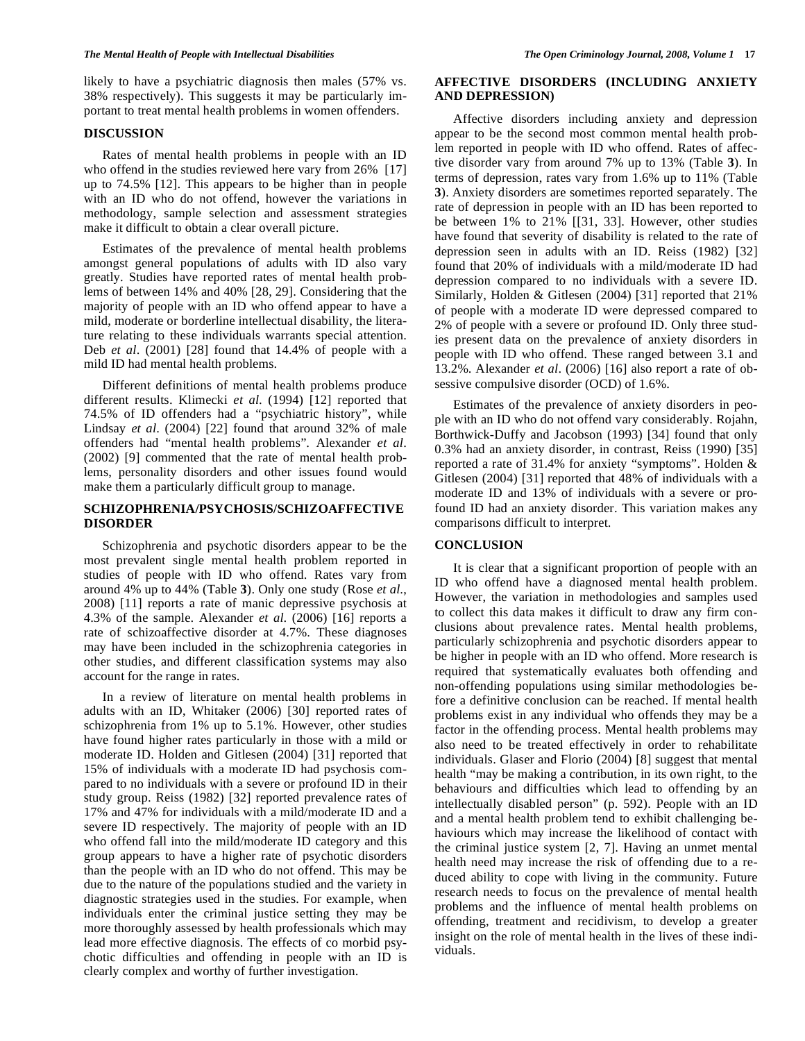likely to have a psychiatric diagnosis then males (57% vs. 38% respectively). This suggests it may be particularly important to treat mental health problems in women offenders.

#### **DISCUSSION**

 Rates of mental health problems in people with an ID who offend in the studies reviewed here vary from 26% [17] up to 74.5% [12]. This appears to be higher than in people with an ID who do not offend, however the variations in methodology, sample selection and assessment strategies make it difficult to obtain a clear overall picture.

 Estimates of the prevalence of mental health problems amongst general populations of adults with ID also vary greatly. Studies have reported rates of mental health problems of between 14% and 40% [28, 29]. Considering that the majority of people with an ID who offend appear to have a mild, moderate or borderline intellectual disability, the literature relating to these individuals warrants special attention. Deb *et al*. (2001) [28] found that 14.4% of people with a mild ID had mental health problems.

 Different definitions of mental health problems produce different results. Klimecki *et al*. (1994) [12] reported that 74.5% of ID offenders had a "psychiatric history", while Lindsay *et al*. (2004) [22] found that around 32% of male offenders had "mental health problems". Alexander *et al*. (2002) [9] commented that the rate of mental health problems, personality disorders and other issues found would make them a particularly difficult group to manage.

## **SCHIZOPHRENIA/PSYCHOSIS/SCHIZOAFFECTIVE DISORDER**

 Schizophrenia and psychotic disorders appear to be the most prevalent single mental health problem reported in studies of people with ID who offend. Rates vary from around 4% up to 44% (Table **3**). Only one study (Rose *et al*., 2008) [11] reports a rate of manic depressive psychosis at 4.3% of the sample. Alexander *et al*. (2006) [16] reports a rate of schizoaffective disorder at 4.7%. These diagnoses may have been included in the schizophrenia categories in other studies, and different classification systems may also account for the range in rates.

 In a review of literature on mental health problems in adults with an ID, Whitaker (2006) [30] reported rates of schizophrenia from 1% up to 5.1%. However, other studies have found higher rates particularly in those with a mild or moderate ID. Holden and Gitlesen (2004) [31] reported that 15% of individuals with a moderate ID had psychosis compared to no individuals with a severe or profound ID in their study group. Reiss (1982) [32] reported prevalence rates of 17% and 47% for individuals with a mild/moderate ID and a severe ID respectively. The majority of people with an ID who offend fall into the mild/moderate ID category and this group appears to have a higher rate of psychotic disorders than the people with an ID who do not offend. This may be due to the nature of the populations studied and the variety in diagnostic strategies used in the studies. For example, when individuals enter the criminal justice setting they may be more thoroughly assessed by health professionals which may lead more effective diagnosis. The effects of co morbid psychotic difficulties and offending in people with an ID is clearly complex and worthy of further investigation.

# **AFFECTIVE DISORDERS (INCLUDING ANXIETY AND DEPRESSION)**

 Affective disorders including anxiety and depression appear to be the second most common mental health problem reported in people with ID who offend. Rates of affective disorder vary from around 7% up to 13% (Table **3**). In terms of depression, rates vary from 1.6% up to 11% (Table **3**). Anxiety disorders are sometimes reported separately. The rate of depression in people with an ID has been reported to be between 1% to 21% [[31, 33]. However, other studies have found that severity of disability is related to the rate of depression seen in adults with an ID. Reiss (1982) [32] found that 20% of individuals with a mild/moderate ID had depression compared to no individuals with a severe ID. Similarly, Holden & Gitlesen (2004) [31] reported that 21% of people with a moderate ID were depressed compared to 2% of people with a severe or profound ID. Only three studies present data on the prevalence of anxiety disorders in people with ID who offend. These ranged between 3.1 and 13.2%. Alexander *et al*. (2006) [16] also report a rate of obsessive compulsive disorder (OCD) of 1.6%.

 Estimates of the prevalence of anxiety disorders in people with an ID who do not offend vary considerably. Rojahn, Borthwick-Duffy and Jacobson (1993) [34] found that only 0.3% had an anxiety disorder, in contrast, Reiss (1990) [35] reported a rate of 31.4% for anxiety "symptoms". Holden & Gitlesen (2004) [31] reported that 48% of individuals with a moderate ID and 13% of individuals with a severe or profound ID had an anxiety disorder. This variation makes any comparisons difficult to interpret.

## **CONCLUSION**

 It is clear that a significant proportion of people with an ID who offend have a diagnosed mental health problem. However, the variation in methodologies and samples used to collect this data makes it difficult to draw any firm conclusions about prevalence rates. Mental health problems, particularly schizophrenia and psychotic disorders appear to be higher in people with an ID who offend. More research is required that systematically evaluates both offending and non-offending populations using similar methodologies before a definitive conclusion can be reached. If mental health problems exist in any individual who offends they may be a factor in the offending process. Mental health problems may also need to be treated effectively in order to rehabilitate individuals. Glaser and Florio (2004) [8] suggest that mental health "may be making a contribution, in its own right, to the behaviours and difficulties which lead to offending by an intellectually disabled person" (p. 592). People with an ID and a mental health problem tend to exhibit challenging behaviours which may increase the likelihood of contact with the criminal justice system [2, 7]. Having an unmet mental health need may increase the risk of offending due to a reduced ability to cope with living in the community. Future research needs to focus on the prevalence of mental health problems and the influence of mental health problems on offending, treatment and recidivism, to develop a greater insight on the role of mental health in the lives of these individuals.